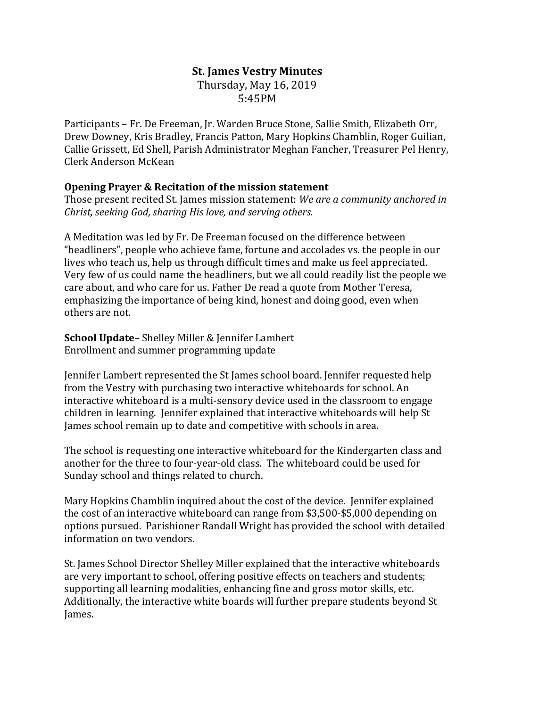# **St. James Vestry Minutes** Thursday, May 16, 2019 5:45PM

Participants – Fr. De Freeman, Jr. Warden Bruce Stone, Sallie Smith, Elizabeth Orr, Drew Downey, Kris Bradley, Francis Patton, Mary Hopkins Chamblin, Roger Guilian, Callie Grissett, Ed Shell, Parish Administrator Meghan Fancher, Treasurer Pel Henry, Clerk Anderson McKean

## **Opening Prayer & Recitation of the mission statement**

Those present recited St. James mission statement: *We are a community anchored in Christ, seeking God, sharing His love, and serving others.*

A Meditation was led by Fr. De Freeman focused on the difference between "headliners", people who achieve fame, fortune and accolades vs. the people in our lives who teach us, help us through difficult times and make us feel appreciated. Very few of us could name the headliners, but we all could readily list the people we care about, and who care for us. Father De read a quote from Mother Teresa, emphasizing the importance of being kind, honest and doing good, even when others are not.

### **School Update**– Shelley Miller & Jennifer Lambert Enrollment and summer programming update

Jennifer Lambert represented the St James school board. Jennifer requested help from the Vestry with purchasing two interactive whiteboards for school. An interactive whiteboard is a multi-sensory device used in the classroom to engage children in learning. Jennifer explained that interactive whiteboards will help St James school remain up to date and competitive with schools in area.

The school is requesting one interactive whiteboard for the Kindergarten class and another for the three to four-year-old class. The whiteboard could be used for Sunday school and things related to church.

Mary Hopkins Chamblin inquired about the cost of the device. Jennifer explained the cost of an interactive whiteboard can range from \$3,500-\$5,000 depending on options pursued. Parishioner Randall Wright has provided the school with detailed information on two vendors.

St. James School Director Shelley Miller explained that the interactive whiteboards are very important to school, offering positive effects on teachers and students; supporting all learning modalities, enhancing fine and gross motor skills, etc. Additionally, the interactive white boards will further prepare students beyond St James.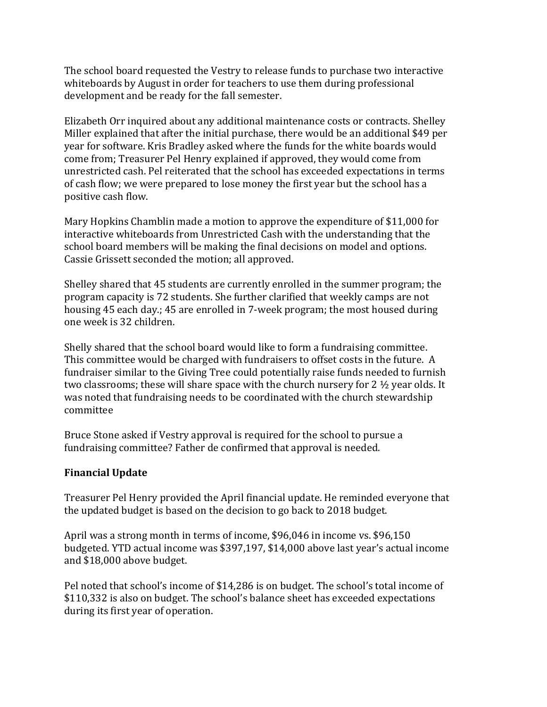The school board requested the Vestry to release funds to purchase two interactive whiteboards by August in order for teachers to use them during professional development and be ready for the fall semester. 

Elizabeth Orr inquired about any additional maintenance costs or contracts. Shelley Miller explained that after the initial purchase, there would be an additional \$49 per year for software. Kris Bradley asked where the funds for the white boards would come from; Treasurer Pel Henry explained if approved, they would come from unrestricted cash. Pel reiterated that the school has exceeded expectations in terms of cash flow; we were prepared to lose money the first year but the school has a positive cash flow.

Mary Hopkins Chamblin made a motion to approve the expenditure of \$11,000 for interactive whiteboards from Unrestricted Cash with the understanding that the school board members will be making the final decisions on model and options. Cassie Grissett seconded the motion; all approved.

Shelley shared that 45 students are currently enrolled in the summer program; the program capacity is 72 students. She further clarified that weekly camps are not housing 45 each day.; 45 are enrolled in 7-week program; the most housed during one week is 32 children.

Shelly shared that the school board would like to form a fundraising committee. This committee would be charged with fundraisers to offset costs in the future. A fundraiser similar to the Giving Tree could potentially raise funds needed to furnish two classrooms; these will share space with the church nursery for 2 ½ year olds. It was noted that fundraising needs to be coordinated with the church stewardship committee

Bruce Stone asked if Vestry approval is required for the school to pursue a fundraising committee? Father de confirmed that approval is needed.

## **Financial Update**

Treasurer Pel Henry provided the April financial update. He reminded everyone that the updated budget is based on the decision to go back to 2018 budget. 

April was a strong month in terms of income, \$96,046 in income vs. \$96,150 budgeted. YTD actual income was \$397,197, \$14,000 above last year's actual income and \$18,000 above budget.

Pel noted that school's income of \$14,286 is on budget. The school's total income of \$110,332 is also on budget. The school's balance sheet has exceeded expectations during its first year of operation.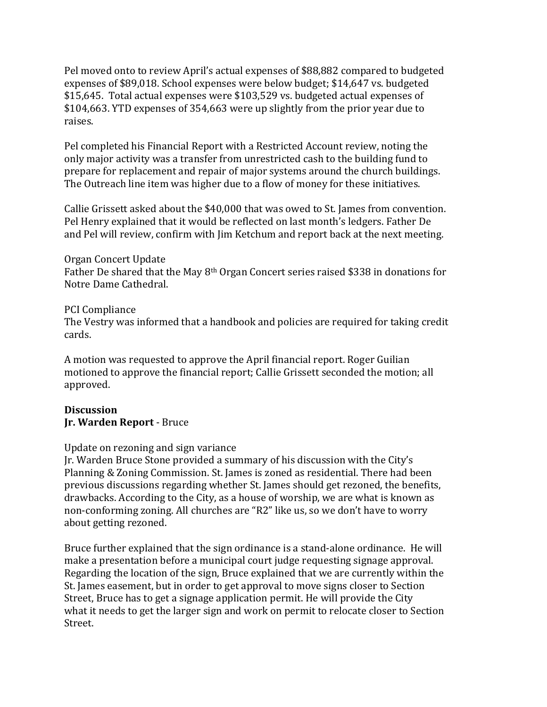Pel moved onto to review April's actual expenses of \$88,882 compared to budgeted expenses of \$89,018. School expenses were below budget; \$14,647 vs. budgeted \$15,645. Total actual expenses were \$103,529 vs. budgeted actual expenses of \$104,663. YTD expenses of 354,663 were up slightly from the prior year due to raises.

Pel completed his Financial Report with a Restricted Account review, noting the only major activity was a transfer from unrestricted cash to the building fund to prepare for replacement and repair of major systems around the church buildings. The Outreach line item was higher due to a flow of money for these initiatives.

Callie Grissett asked about the \$40,000 that was owed to St. James from convention. Pel Henry explained that it would be reflected on last month's ledgers. Father De and Pel will review, confirm with Jim Ketchum and report back at the next meeting.

Organ Concert Update Father De shared that the May 8th Organ Concert series raised \$338 in donations for Notre Dame Cathedral.

## PCI Compliance

The Vestry was informed that a handbook and policies are required for taking credit cards.

A motion was requested to approve the April financial report. Roger Guilian motioned to approve the financial report; Callie Grissett seconded the motion; all approved.

## Discussion **Jr. Warden Report** - Bruce

## Update on rezoning and sign variance

Jr. Warden Bruce Stone provided a summary of his discussion with the City's Planning & Zoning Commission. St. James is zoned as residential. There had been previous discussions regarding whether St. James should get rezoned, the benefits, drawbacks. According to the City, as a house of worship, we are what is known as non-conforming zoning. All churches are "R2" like us, so we don't have to worry about getting rezoned.

Bruce further explained that the sign ordinance is a stand-alone ordinance. He will make a presentation before a municipal court judge requesting signage approval. Regarding the location of the sign, Bruce explained that we are currently within the St. James easement, but in order to get approval to move signs closer to Section Street, Bruce has to get a signage application permit. He will provide the City what it needs to get the larger sign and work on permit to relocate closer to Section Street.